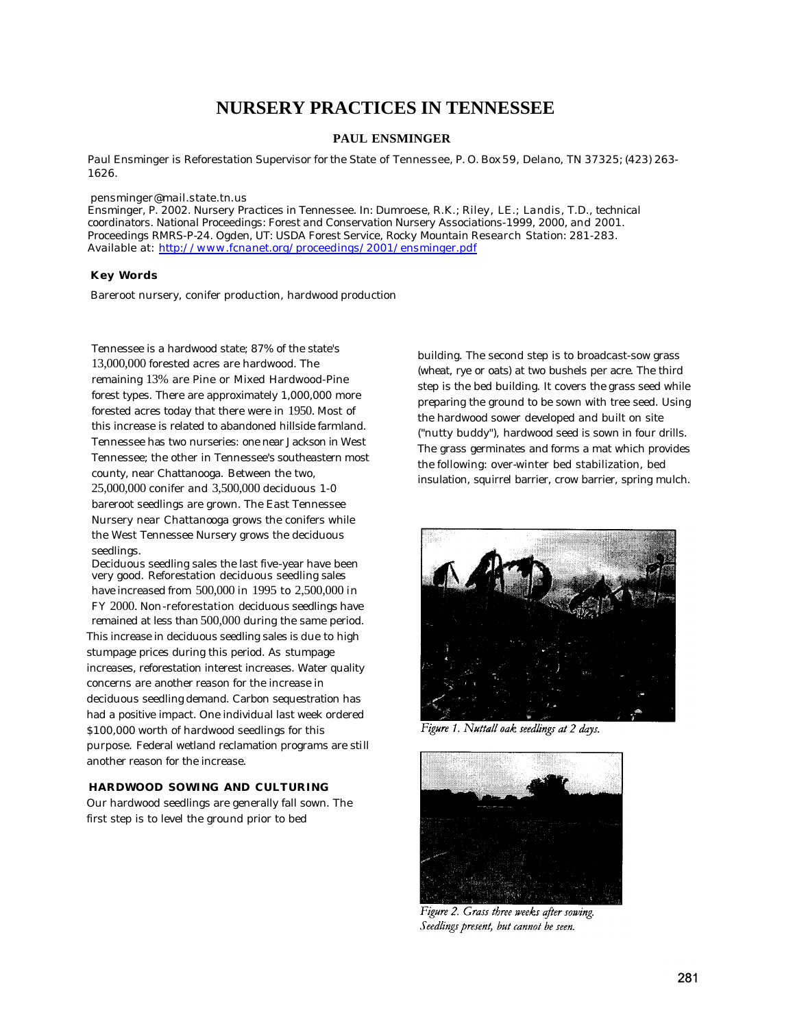# **NURSERY PRACTICES IN TENNESSEE**

### **PAUL ENSMINGER**

*Paul Ensminger is Reforestation Supervisor for* the State *of Tennessee, P. O. Box 59, Delano, TN 37325; (423) 263- 1626.*

#### *pensminger@mail.state.tn.us*

*Ensminger, P. 2002. Nursery Practices in Tennessee. In: Dumroese, R.K.; Riley, LE.; Landis, T.D., technical coordinators. National Proceedings: Forest and Conservation Nursery Associations-1999, 2000, and 2001. Proceedings RMRS-P-24. Ogden, UT: USDA Forest Service, Rocky Mountain* Research *Station: 281-283. Available* at: *http://www.fcnanet.org/proceedings/2001/ensminger.pdf*

#### **Key Words**

Bareroot nursery, conifer production, hardwood production

Tennessee is a hardwood state; 87% of the state's 13,000,000 forested acres are hardwood. The remaining 13% are Pine or Mixed Hardwood-Pine forest types. There are approximately 1,000,000 more forested acres today that there were in 1950. Most of this increase is related to abandoned hillside farmland. Tennessee has two nurseries: one near Jackson in West Tennessee; the other in Tennessee's southeastern most county, near Chattanooga. Between the two, 25,000,000 conifer and 3,500,000 deciduous 1-0 bareroot seedlings are grown. The East Tennessee Nursery near Chattanooga grows the conifers while the West Tennessee Nursery grows the deciduous seedlings.

Deciduous seedling sales the last five-year have been *very* good. Reforestation deciduous seedling sales have increased from 500,000 in 1995 to 2,500,000 in FY 2000. Non-reforestation deciduous seedlings have remained at less than 500,000 during the same period. This increase in deciduous seedling sales is due to high stumpage prices during this period. As stumpage increases, reforestation interest increases. Water quality concerns are another reason for the increase in deciduous seedling demand. Carbon sequestration has had a positive impact. One individual last week ordered \$100,000 worth of hardwood seedlings for this purpose. Federal wetland reclamation programs are still another reason for the increase.

#### **HARDWOOD SOWING AND CULTURING**

Our hardwood seedlings are generally fall sown. The first step is to level the ground prior to bed

building. The second step is to broadcast-sow grass (wheat, rye or oats) at two bushels per acre. The third step is the bed building. It covers the grass seed while preparing the ground to be sown with tree seed. Using the hardwood sower developed and built on site ("nutty buddy"), hardwood seed is sown in four drills. The grass germinates and forms a mat which provides the following: over-winter bed stabilization, bed insulation, squirrel barrier, crow barrier, spring mulch.



Figure 1. Nuttall oak seedlings at 2 days.



Figure 2. Grass three weeks after sowing. Seedlings present, but cannot be seen.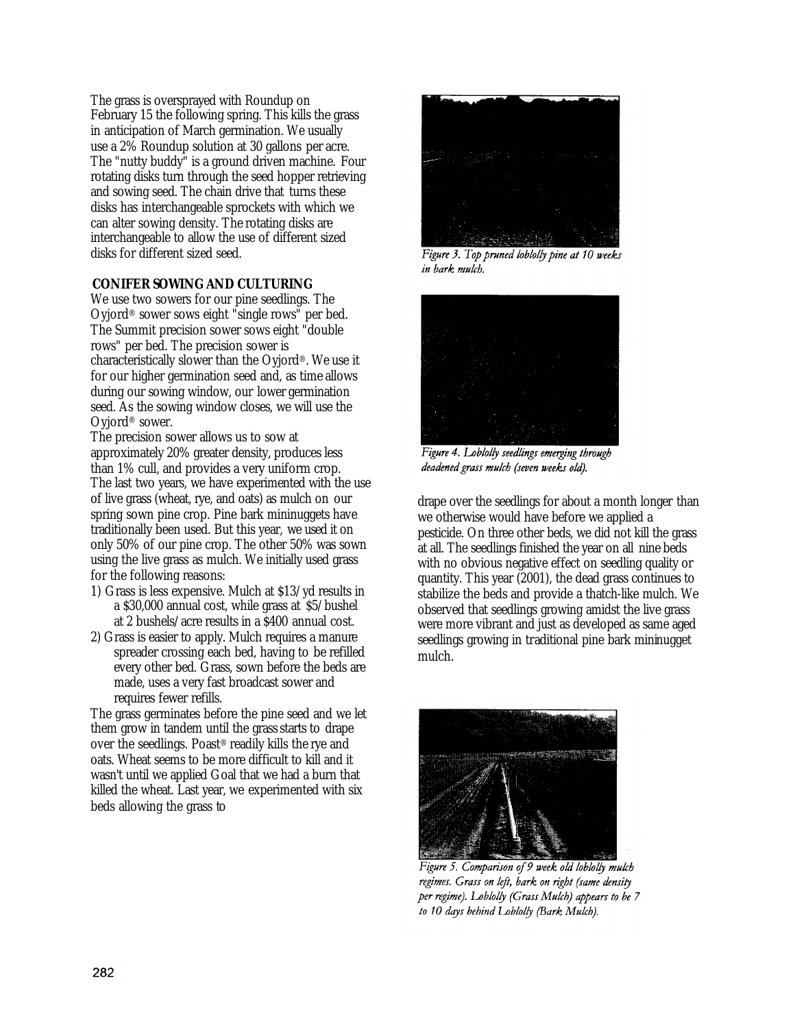The grass is oversprayed with Roundup on February 15 the following spring. This kills the grass in anticipation of March germination. We usually use a 2% Roundup solution at 30 gallons per acre. The "nutty buddy" is a ground driven machine. Four rotating disks turn through the seed hopper retrieving and sowing seed. The chain drive that turns these disks has interchangeable sprockets with which we can alter sowing density. The rotating disks are interchangeable to allow the use of different sized disks for different sized seed.

### **CONIFER SOWING AND CULTURING**

We use two sowers for our pine seedlings. The Oyjord® sower sows eight "single rows" per bed. The Summit precision sower sows eight "double rows" per bed. The precision sower is characteristically slower than the Oyjord®. We use it for our higher germination seed and, as time allows during our sowing window, our lower germination seed. As the sowing window closes, we will use the Oyjord® sower.

The precision sower allows us to sow at approximately 20% greater density, produces less than 1% cull, and provides a very uniform crop. The last two years, we have experimented with the use of live grass (wheat, rye, and oats) as mulch on our spring sown pine crop. Pine bark mininuggets have traditionally been used. But this year, we used it on only 50% of our pine crop. The other 50% was sown using the live grass as mulch. We initially used grass for the following reasons:

- 1) Grass is less expensive. Mulch at \$13/yd results in a \$30,000 annual cost, while grass at \$5/bushel at 2 bushels/acre results in a \$400 annual cost.
- 2) Grass is easier to apply. Mulch requires a manure spreader crossing each bed, having to be refilled every other bed. Grass, sown before the beds are made, uses a very fast broadcast sower and requires fewer refills.

The grass germinates before the pine seed and we let them grow in tandem until the grass starts to drape over the seedlings. Poast® readily kills the rye and oats. Wheat seems to be more difficult to kill and it wasn't until we applied Goal that we had a burn that killed the wheat. Last year, we experimented with six beds allowing the grass to



Figure 3. Top pruned loblolly pine at 10 weeks in bark mulch.



Figure 4. Loblolly seedlings emerging through deadened grass mulch (seven weeks old).

drape over the seedlings for about a month longer than we otherwise would have before we applied a pesticide. On three other beds, we did not kill the grass at all. The seedlings finished the year on all nine beds with no obvious negative effect on seedling quality or quantity. This year (2001), the dead grass continues to stabilize the beds and provide a thatch-like mulch. We observed that seedlings growing amidst the live grass were more vibrant and just as developed as same aged seedlings growing in traditional pine bark mininugget mulch.



Figure 5. Comparison of 9 week old loblolly mulch regimes. Grass on left, bark on right (same density per regime). Loblolly (Grass Mulch) appears to be 7 to 10 days behind Loblolly (Bark Mulch).